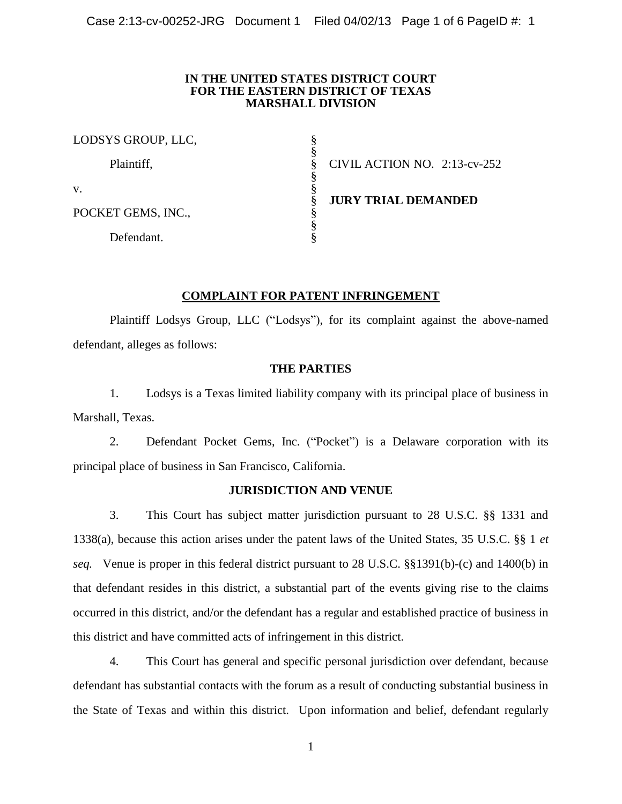### **IN THE UNITED STATES DISTRICT COURT FOR THE EASTERN DISTRICT OF TEXAS MARSHALL DIVISION**

| LODSYS GROUP, LLC, |                              |
|--------------------|------------------------------|
| Plaintiff,         | CIVIL ACTION NO. 2:13-cv-252 |
| V.                 |                              |
| POCKET GEMS, INC., | <b>JURY TRIAL DEMANDED</b>   |
| Defendant.         |                              |

# **COMPLAINT FOR PATENT INFRINGEMENT**

Plaintiff Lodsys Group, LLC ("Lodsys"), for its complaint against the above-named defendant, alleges as follows:

# **THE PARTIES**

1. Lodsys is a Texas limited liability company with its principal place of business in Marshall, Texas.

2. Defendant Pocket Gems, Inc. ("Pocket") is a Delaware corporation with its principal place of business in San Francisco, California.

## **JURISDICTION AND VENUE**

3. This Court has subject matter jurisdiction pursuant to 28 U.S.C. §§ 1331 and 1338(a), because this action arises under the patent laws of the United States, 35 U.S.C. §§ 1 *et seq.* Venue is proper in this federal district pursuant to 28 U.S.C. §§1391(b)-(c) and 1400(b) in that defendant resides in this district, a substantial part of the events giving rise to the claims occurred in this district, and/or the defendant has a regular and established practice of business in this district and have committed acts of infringement in this district.

4. This Court has general and specific personal jurisdiction over defendant, because defendant has substantial contacts with the forum as a result of conducting substantial business in the State of Texas and within this district. Upon information and belief, defendant regularly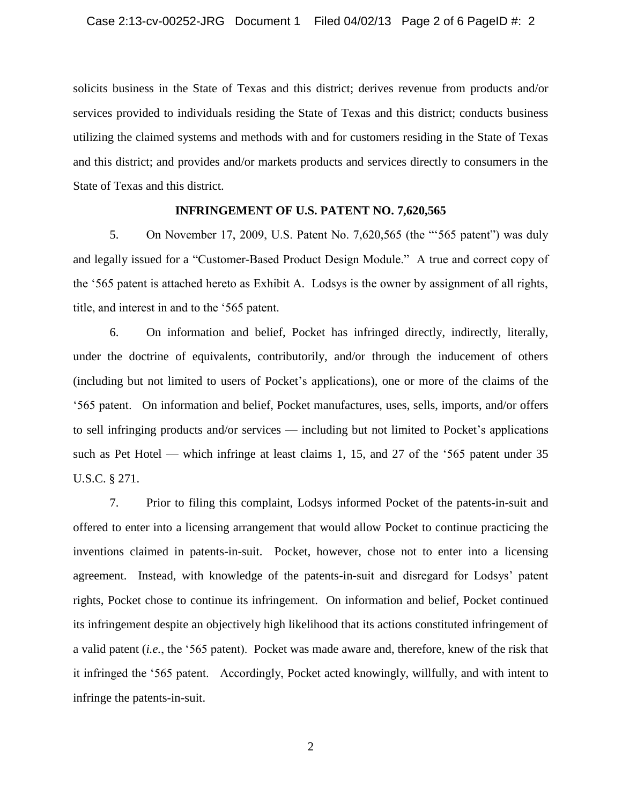solicits business in the State of Texas and this district; derives revenue from products and/or services provided to individuals residing the State of Texas and this district; conducts business utilizing the claimed systems and methods with and for customers residing in the State of Texas and this district; and provides and/or markets products and services directly to consumers in the State of Texas and this district.

### **INFRINGEMENT OF U.S. PATENT NO. 7,620,565**

5. On November 17, 2009, U.S. Patent No. 7,620,565 (the "'565 patent") was duly and legally issued for a "Customer-Based Product Design Module." A true and correct copy of the '565 patent is attached hereto as Exhibit A. Lodsys is the owner by assignment of all rights, title, and interest in and to the '565 patent.

6. On information and belief, Pocket has infringed directly, indirectly, literally, under the doctrine of equivalents, contributorily, and/or through the inducement of others (including but not limited to users of Pocket's applications), one or more of the claims of the '565 patent. On information and belief, Pocket manufactures, uses, sells, imports, and/or offers to sell infringing products and/or services — including but not limited to Pocket's applications such as Pet Hotel — which infringe at least claims 1, 15, and 27 of the '565 patent under 35 U.S.C. § 271.

7. Prior to filing this complaint, Lodsys informed Pocket of the patents-in-suit and offered to enter into a licensing arrangement that would allow Pocket to continue practicing the inventions claimed in patents-in-suit. Pocket, however, chose not to enter into a licensing agreement. Instead, with knowledge of the patents-in-suit and disregard for Lodsys' patent rights, Pocket chose to continue its infringement. On information and belief, Pocket continued its infringement despite an objectively high likelihood that its actions constituted infringement of a valid patent (*i.e.*, the '565 patent). Pocket was made aware and, therefore, knew of the risk that it infringed the '565 patent. Accordingly, Pocket acted knowingly, willfully, and with intent to infringe the patents-in-suit.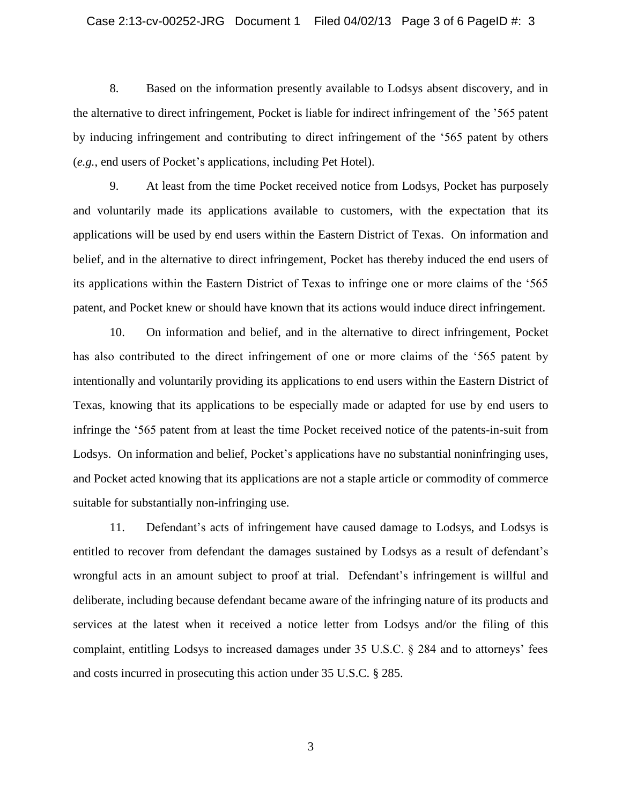8. Based on the information presently available to Lodsys absent discovery, and in the alternative to direct infringement, Pocket is liable for indirect infringement of the '565 patent by inducing infringement and contributing to direct infringement of the '565 patent by others (*e.g.*, end users of Pocket's applications, including Pet Hotel).

9. At least from the time Pocket received notice from Lodsys, Pocket has purposely and voluntarily made its applications available to customers, with the expectation that its applications will be used by end users within the Eastern District of Texas. On information and belief, and in the alternative to direct infringement, Pocket has thereby induced the end users of its applications within the Eastern District of Texas to infringe one or more claims of the '565 patent, and Pocket knew or should have known that its actions would induce direct infringement.

10. On information and belief, and in the alternative to direct infringement, Pocket has also contributed to the direct infringement of one or more claims of the '565 patent by intentionally and voluntarily providing its applications to end users within the Eastern District of Texas, knowing that its applications to be especially made or adapted for use by end users to infringe the '565 patent from at least the time Pocket received notice of the patents-in-suit from Lodsys. On information and belief, Pocket's applications have no substantial noninfringing uses, and Pocket acted knowing that its applications are not a staple article or commodity of commerce suitable for substantially non-infringing use.

11. Defendant's acts of infringement have caused damage to Lodsys, and Lodsys is entitled to recover from defendant the damages sustained by Lodsys as a result of defendant's wrongful acts in an amount subject to proof at trial. Defendant's infringement is willful and deliberate, including because defendant became aware of the infringing nature of its products and services at the latest when it received a notice letter from Lodsys and/or the filing of this complaint, entitling Lodsys to increased damages under 35 U.S.C. § 284 and to attorneys' fees and costs incurred in prosecuting this action under 35 U.S.C. § 285.

3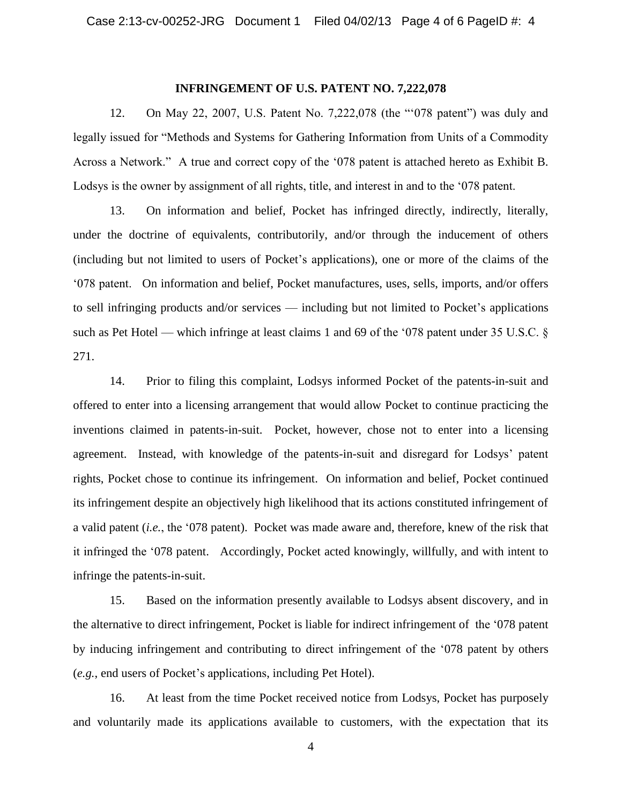#### **INFRINGEMENT OF U.S. PATENT NO. 7,222,078**

12. On May 22, 2007, U.S. Patent No. 7,222,078 (the "'078 patent") was duly and legally issued for "Methods and Systems for Gathering Information from Units of a Commodity Across a Network." A true and correct copy of the '078 patent is attached hereto as Exhibit B. Lodsys is the owner by assignment of all rights, title, and interest in and to the '078 patent.

13. On information and belief, Pocket has infringed directly, indirectly, literally, under the doctrine of equivalents, contributorily, and/or through the inducement of others (including but not limited to users of Pocket's applications), one or more of the claims of the '078 patent. On information and belief, Pocket manufactures, uses, sells, imports, and/or offers to sell infringing products and/or services — including but not limited to Pocket's applications such as Pet Hotel — which infringe at least claims 1 and 69 of the '078 patent under 35 U.S.C. § 271.

14. Prior to filing this complaint, Lodsys informed Pocket of the patents-in-suit and offered to enter into a licensing arrangement that would allow Pocket to continue practicing the inventions claimed in patents-in-suit. Pocket, however, chose not to enter into a licensing agreement. Instead, with knowledge of the patents-in-suit and disregard for Lodsys' patent rights, Pocket chose to continue its infringement. On information and belief, Pocket continued its infringement despite an objectively high likelihood that its actions constituted infringement of a valid patent (*i.e.*, the '078 patent). Pocket was made aware and, therefore, knew of the risk that it infringed the '078 patent. Accordingly, Pocket acted knowingly, willfully, and with intent to infringe the patents-in-suit.

15. Based on the information presently available to Lodsys absent discovery, and in the alternative to direct infringement, Pocket is liable for indirect infringement of the '078 patent by inducing infringement and contributing to direct infringement of the '078 patent by others (*e.g.*, end users of Pocket's applications, including Pet Hotel).

16. At least from the time Pocket received notice from Lodsys, Pocket has purposely and voluntarily made its applications available to customers, with the expectation that its

4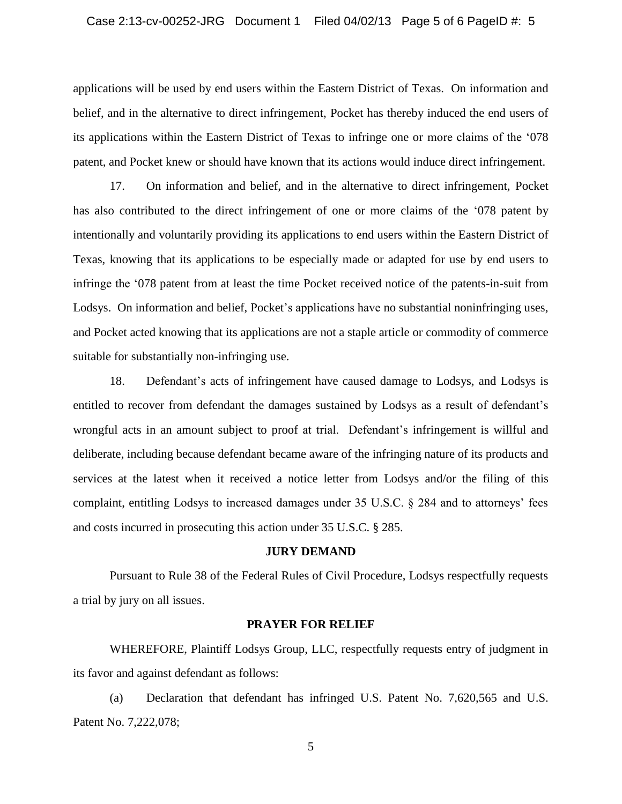applications will be used by end users within the Eastern District of Texas. On information and belief, and in the alternative to direct infringement, Pocket has thereby induced the end users of its applications within the Eastern District of Texas to infringe one or more claims of the '078 patent, and Pocket knew or should have known that its actions would induce direct infringement.

17. On information and belief, and in the alternative to direct infringement, Pocket has also contributed to the direct infringement of one or more claims of the '078 patent by intentionally and voluntarily providing its applications to end users within the Eastern District of Texas, knowing that its applications to be especially made or adapted for use by end users to infringe the '078 patent from at least the time Pocket received notice of the patents-in-suit from Lodsys. On information and belief, Pocket's applications have no substantial noninfringing uses, and Pocket acted knowing that its applications are not a staple article or commodity of commerce suitable for substantially non-infringing use.

18. Defendant's acts of infringement have caused damage to Lodsys, and Lodsys is entitled to recover from defendant the damages sustained by Lodsys as a result of defendant's wrongful acts in an amount subject to proof at trial. Defendant's infringement is willful and deliberate, including because defendant became aware of the infringing nature of its products and services at the latest when it received a notice letter from Lodsys and/or the filing of this complaint, entitling Lodsys to increased damages under 35 U.S.C. § 284 and to attorneys' fees and costs incurred in prosecuting this action under 35 U.S.C. § 285.

#### **JURY DEMAND**

Pursuant to Rule 38 of the Federal Rules of Civil Procedure, Lodsys respectfully requests a trial by jury on all issues.

### **PRAYER FOR RELIEF**

WHEREFORE, Plaintiff Lodsys Group, LLC, respectfully requests entry of judgment in its favor and against defendant as follows:

(a) Declaration that defendant has infringed U.S. Patent No. 7,620,565 and U.S. Patent No. 7,222,078;